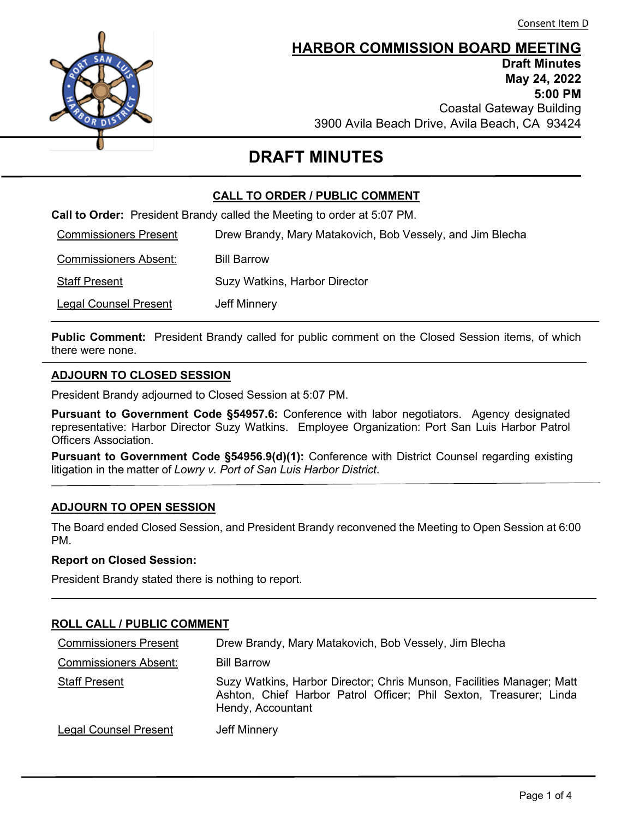

**HARBOR COMMISSION BOARD MEETING**

**Draft Minutes May 24, 2022 5:00 PM** Coastal Gateway Building 3900 Avila Beach Drive, Avila Beach, CA 93424

# **DRAFT MINUTES**

## **CALL TO ORDER / PUBLIC COMMENT**

**Call to Order:** President Brandy called the Meeting to order at 5:07 PM.

Commissioners Present Drew Brandy, Mary Matakovich, Bob Vessely, and Jim Blecha

Commissioners Absent: Bill Barrow

Staff Present Suzy Watkins, Harbor Director

Legal Counsel Present **Jeff Minnery** 

**Public Comment:** President Brandy called for public comment on the Closed Session items, of which there were none.

#### **ADJOURN TO CLOSED SESSION**

President Brandy adjourned to Closed Session at 5:07 PM.

**Pursuant to Government Code §54957.6:** Conference with labor negotiators. Agency designated representative: Harbor Director Suzy Watkins. Employee Organization: Port San Luis Harbor Patrol Officers Association.

**Pursuant to Government Code §54956.9(d)(1):** Conference with District Counsel regarding existing litigation in the matter of *Lowry v. Port of San Luis Harbor District*.

## **ADJOURN TO OPEN SESSION**

The Board ended Closed Session, and President Brandy reconvened the Meeting to Open Session at 6:00 PM.

#### **Report on Closed Session:**

President Brandy stated there is nothing to report.

## **ROLL CALL / PUBLIC COMMENT**

| <b>Commissioners Present</b> | Drew Brandy, Mary Matakovich, Bob Vessely, Jim Blecha                                                                                                            |
|------------------------------|------------------------------------------------------------------------------------------------------------------------------------------------------------------|
| <b>Commissioners Absent:</b> | <b>Bill Barrow</b>                                                                                                                                               |
| <b>Staff Present</b>         | Suzy Watkins, Harbor Director; Chris Munson, Facilities Manager; Matt<br>Ashton, Chief Harbor Patrol Officer; Phil Sexton, Treasurer; Linda<br>Hendy, Accountant |
| <b>Legal Counsel Present</b> | Jeff Minnery                                                                                                                                                     |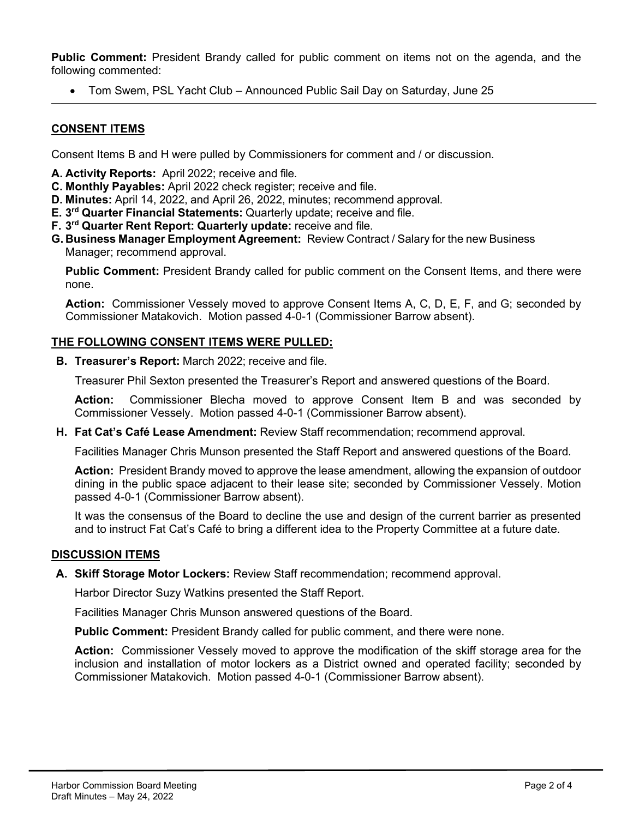**Public Comment:** President Brandy called for public comment on items not on the agenda, and the following commented:

• Tom Swem, PSL Yacht Club – Announced Public Sail Day on Saturday, June 25

#### **CONSENT ITEMS**

Consent Items B and H were pulled by Commissioners for comment and / or discussion.

- **A. Activity Reports:** April 2022; receive and file.
- **C. Monthly Payables:** April 2022 check register; receive and file.
- **D. Minutes:** April 14, 2022, and April 26, 2022, minutes; recommend approval.
- **E. 3rd Quarter Financial [Statements:](https://www.portsanluis.com/DocumentCenter/View/6134/Consent-E---Staff-Report--3Q-Financial-Stmts-2020-21)** Quarterly update; receive and file.
- **F. 3rd [Quarter](https://www.portsanluis.com/DocumentCenter/View/6135/Consent-F---Rent-Report-21-22-3rd-Quarter-052422-BOC) Rent Report: Quarterly update:** receive and file.
- **G. Business Manager Employment Agreement:** Review Contract / Salary for the new Business Manager; recommend approval.

**Public Comment:** President Brandy called for public comment on the Consent Items, and there were none.

**Action:** Commissioner Vessely moved to approve Consent Items A, C, D, E, F, and G; seconded by Commissioner Matakovich. Motion passed 4-0-1 (Commissioner Barrow absent).

#### **THE FOLLOWING CONSENT ITEMS WERE PULLED:**

**B. Treasurer's Report:** March 2022; receive and file.

Treasurer Phil Sexton presented the Treasurer's Report and answered questions of the Board.

**Action:** Commissioner Blecha moved to approve Consent Item B and was seconded by Commissioner Vessely. Motion passed 4-0-1 (Commissioner Barrow absent).

**H. Fat Cat's Café Lease Amendment:** Review Staff recommendation; recommend approval.

Facilities Manager Chris Munson presented the Staff Report and answered questions of the Board.

**Action:** President Brandy moved to approve the lease amendment, allowing the expansion of outdoor dining in the public space adjacent to their lease site; seconded by Commissioner Vessely. Motion passed 4-0-1 (Commissioner Barrow absent).

It was the consensus of the Board to decline the use and design of the current barrier as presented and to instruct Fat Cat's Café to bring a different idea to the Property Committee at a future date.

#### **DISCUSSION ITEMS**

**A. Skiff Storage Motor Lockers:** Review Staff recommendation; recommend approval.

Harbor Director Suzy Watkins presented the Staff Report.

Facilities Manager Chris Munson answered questions of the Board.

**Public Comment:** President Brandy called for public comment, and there were none.

**Action:** Commissioner Vessely moved to approve the modification of the skiff storage area for the inclusion and installation of motor lockers as a District owned and operated facility; seconded by Commissioner Matakovich. Motion passed 4-0-1 (Commissioner Barrow absent).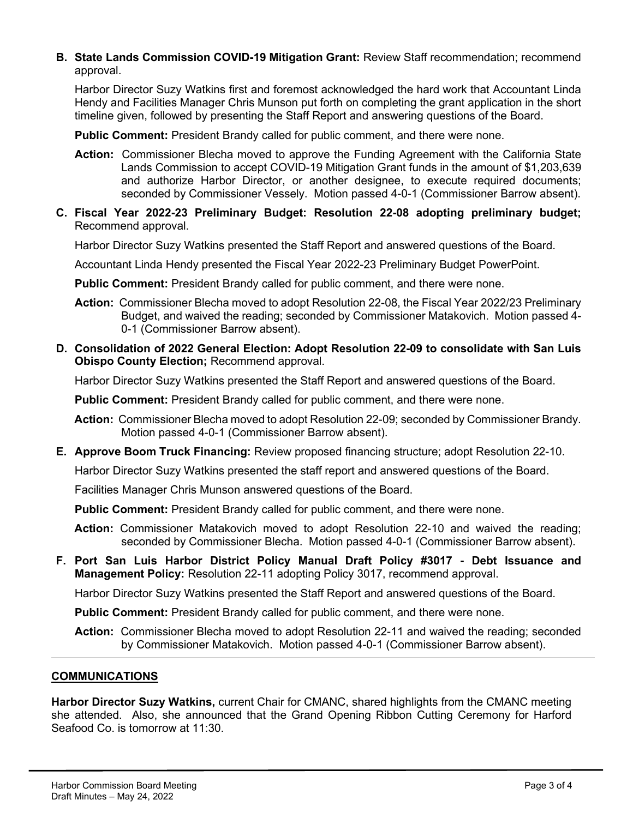#### **B. State Lands Commission COVID-19 Mitigation Grant:** Review Staff recommendation; recommend approval.

Harbor Director Suzy Watkins first and foremost acknowledged the hard work that Accountant Linda Hendy and Facilities Manager Chris Munson put forth on completing the grant application in the short timeline given, followed by presenting the Staff Report and answering questions of the Board.

**Public Comment:** President Brandy called for public comment, and there were none.

- **Action:** Commissioner Blecha moved to approve the Funding Agreement with the California State Lands Commission to accept COVID-19 Mitigation Grant funds in the amount of \$1,203,639 and authorize Harbor Director, or another designee, to execute required documents; seconded by Commissioner Vessely. Motion passed 4-0-1 (Commissioner Barrow absent).
- **C. Fiscal Year 2022-23 Preliminary Budget: Resolution 22-08 adopting preliminary budget;**  Recommend approval.

Harbor Director Suzy Watkins presented the Staff Report and answered questions of the Board.

Accountant Linda Hendy presented the Fiscal Year 2022-23 Preliminary Budget PowerPoint.

**Public Comment:** President Brandy called for public comment, and there were none.

- **Action:** Commissioner Blecha moved to adopt Resolution 22-08, the Fiscal Year 2022/23 Preliminary Budget, and waived the reading; seconded by Commissioner Matakovich. Motion passed 4- 0-1 (Commissioner Barrow absent).
- **D. Consolidation of 2022 General Election: Adopt Resolution 22-09 to consolidate with San Luis Obispo County Election;** Recommend approval.

Harbor Director Suzy Watkins presented the Staff Report and answered questions of the Board.

**Public Comment:** President Brandy called for public comment, and there were none.

**Action:** Commissioner Blecha moved to adopt Resolution 22-09; seconded by Commissioner Brandy. Motion passed 4-0-1 (Commissioner Barrow absent).

**E. Approve Boom Truck Financing:** Review proposed financing structure; adopt Resolution 22-10.

Harbor Director Suzy Watkins presented the staff report and answered questions of the Board.

Facilities Manager Chris Munson answered questions of the Board.

**Public Comment:** President Brandy called for public comment, and there were none.

**Action:** Commissioner Matakovich moved to adopt Resolution 22-10 and waived the reading; seconded by Commissioner Blecha. Motion passed 4-0-1 (Commissioner Barrow absent).

**F. Port San Luis Harbor District Policy Manual Draft Policy #3017 - Debt Issuance and Management Policy:** Resolution 22-11 adopting Policy 3017, recommend approval.

Harbor Director Suzy Watkins presented the Staff Report and answered questions of the Board.

**Public Comment:** President Brandy called for public comment, and there were none.

**Action:** Commissioner Blecha moved to adopt Resolution 22-11 and waived the reading; seconded by Commissioner Matakovich. Motion passed 4-0-1 (Commissioner Barrow absent).

#### **COMMUNICATIONS**

**Harbor Director Suzy Watkins,** current Chair for CMANC, shared highlights from the CMANC meeting she attended. Also, she announced that the Grand Opening Ribbon Cutting Ceremony for Harford Seafood Co. is tomorrow at 11:30.